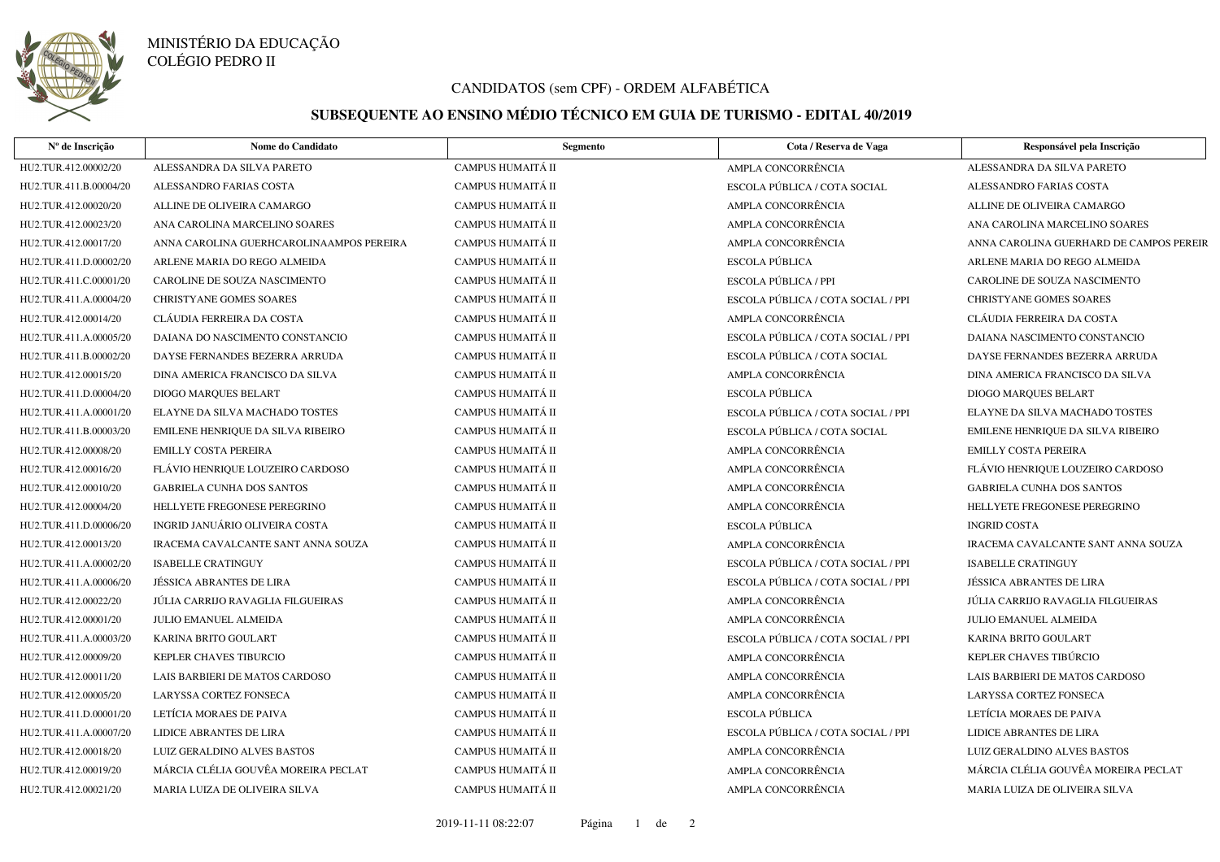

#### MINISTÉRIO DA EDUCAÇÃO COLÉGIO PEDRO II

## CANDIDATOS (sem CPF) - ORDEM ALFABÉTICA

# **SUBSEQUENTE AO ENSINO MÉDIO TÉCNICO EM GUIA DE TURISMO - EDITAL 40/2019**

| Nº de Inscrição        | Nome do Candidato                        | Segmento                 | Cota / Reserva de Vaga             | Responsável pela Inscrição              |
|------------------------|------------------------------------------|--------------------------|------------------------------------|-----------------------------------------|
| HU2.TUR.412.00002/20   | ALESSANDRA DA SILVA PARETO               | <b>CAMPUS HUMAITÁ II</b> | AMPLA CONCORRÊNCIA                 | ALESSANDRA DA SILVA PARETO              |
| HU2.TUR.411.B.00004/20 | ALESSANDRO FARIAS COSTA                  | CAMPUS HUMAITÁ II        | ESCOLA PÚBLICA / COTA SOCIAL       | ALESSANDRO FARIAS COSTA                 |
| HU2.TUR.412.00020/20   | ALLINE DE OLIVEIRA CAMARGO               | CAMPUS HUMAITÁ II        | AMPLA CONCORRÊNCIA                 | ALLINE DE OLIVEIRA CAMARGO              |
| HU2.TUR.412.00023/20   | ANA CAROLINA MARCELINO SOARES            | CAMPUS HUMAITÁ II        | AMPLA CONCORRÊNCIA                 | ANA CAROLINA MARCELINO SOARES           |
| HU2.TUR.412.00017/20   | ANNA CAROLINA GUERHCAROLINAAMPOS PEREIRA | <b>CAMPUS HUMAITÁ II</b> | AMPLA CONCORRÊNCIA                 | ANNA CAROLINA GUERHARD DE CAMPOS PEREIR |
| HU2.TUR.411.D.00002/20 | ARLENE MARIA DO REGO ALMEIDA             | CAMPUS HUMAITÁ II        | ESCOLA PÚBLICA                     | ARLENE MARIA DO REGO ALMEIDA            |
| HU2.TUR.411.C.00001/20 | CAROLINE DE SOUZA NASCIMENTO             | CAMPUS HUMAITÁ II        | ESCOLA PÚBLICA / PPI               | CAROLINE DE SOUZA NASCIMENTO            |
| HU2.TUR.411.A.00004/20 | <b>CHRISTYANE GOMES SOARES</b>           | CAMPUS HUMAITÁ II        | ESCOLA PÚBLICA / COTA SOCIAL / PPI | <b>CHRISTYANE GOMES SOARES</b>          |
| HU2.TUR.412.00014/20   | CLÁUDIA FERREIRA DA COSTA                | CAMPUS HUMAITÁ II        | AMPLA CONCORRÊNCIA                 | CLÁUDIA FERREIRA DA COSTA               |
| HU2.TUR.411.A.00005/20 | DAIANA DO NASCIMENTO CONSTANCIO          | CAMPUS HUMAITÁ II        | ESCOLA PÚBLICA / COTA SOCIAL / PPI | DAIANA NASCIMENTO CONSTANCIO            |
| HU2.TUR.411.B.00002/20 | DAYSE FERNANDES BEZERRA ARRUDA           | CAMPUS HUMAITÁ II        | ESCOLA PÚBLICA / COTA SOCIAL       | DAYSE FERNANDES BEZERRA ARRUDA          |
| HU2.TUR.412.00015/20   | DINA AMERICA FRANCISCO DA SILVA          | CAMPUS HUMAITÁ II        | AMPLA CONCORRÊNCIA                 | DINA AMERICA FRANCISCO DA SILVA         |
| HU2.TUR.411.D.00004/20 | DIOGO MARQUES BELART                     | CAMPUS HUMAITÁ II        | ESCOLA PÚBLICA                     | DIOGO MARQUES BELART                    |
| HU2.TUR.411.A.00001/20 | ELAYNE DA SILVA MACHADO TOSTES           | CAMPUS HUMAITÁ II        | ESCOLA PÚBLICA / COTA SOCIAL / PPI | ELAYNE DA SILVA MACHADO TOSTES          |
| HU2.TUR.411.B.00003/20 | EMILENE HENRIQUE DA SILVA RIBEIRO        | <b>CAMPUS HUMAITÁ II</b> | ESCOLA PÚBLICA / COTA SOCIAL       | EMILENE HENRIQUE DA SILVA RIBEIRO       |
| HU2.TUR.412.00008/20   | <b>EMILLY COSTA PEREIRA</b>              | CAMPUS HUMAITÁ II        | AMPLA CONCORRÊNCIA                 | <b>EMILLY COSTA PEREIRA</b>             |
| HU2.TUR.412.00016/20   | FLÁVIO HENRIQUE LOUZEIRO CARDOSO         | CAMPUS HUMAITÁ II        | AMPLA CONCORRÊNCIA                 | FLÁVIO HENRIQUE LOUZEIRO CARDOSO        |
| HU2.TUR.412.00010/20   | <b>GABRIELA CUNHA DOS SANTOS</b>         | CAMPUS HUMAITÁ II        | AMPLA CONCORRÊNCIA                 | <b>GABRIELA CUNHA DOS SANTOS</b>        |
| HU2.TUR.412.00004/20   | HELLYETE FREGONESE PEREGRINO             | <b>CAMPUS HUMAITÁ II</b> | AMPLA CONCORRÊNCIA                 | HELLYETE FREGONESE PEREGRINO            |
| HU2.TUR.411.D.00006/20 | INGRID JANUÁRIO OLIVEIRA COSTA           | CAMPUS HUMAITÁ II        | <b>ESCOLA PÚBLICA</b>              | <b>INGRID COSTA</b>                     |
| HU2.TUR.412.00013/20   | IRACEMA CAVALCANTE SANT ANNA SOUZA       | CAMPUS HUMAITÁ II        | AMPLA CONCORRÊNCIA                 | IRACEMA CAVALCANTE SANT ANNA SOUZA      |
| HU2.TUR.411.A.00002/20 | <b>ISABELLE CRATINGUY</b>                | CAMPUS HUMAITÁ II        | ESCOLA PÚBLICA / COTA SOCIAL / PPI | <b>ISABELLE CRATINGUY</b>               |
| HU2.TUR.411.A.00006/20 | JÉSSICA ABRANTES DE LIRA                 | CAMPUS HUMAITÁ II        | ESCOLA PÚBLICA / COTA SOCIAL / PPI | <b>JÉSSICA ABRANTES DE LIRA</b>         |
| HU2.TUR.412.00022/20   | JÚLIA CARRIJO RAVAGLIA FILGUEIRAS        | CAMPUS HUMAITÁ II        | AMPLA CONCORRÊNCIA                 | JÚLIA CARRIJO RAVAGLIA FILGUEIRAS       |
| HU2.TUR.412.00001/20   | <b>JULIO EMANUEL ALMEIDA</b>             | CAMPUS HUMAITÁ II        | AMPLA CONCORRÊNCIA                 | <b>JULIO EMANUEL ALMEIDA</b>            |
| HU2.TUR.411.A.00003/20 | KARINA BRITO GOULART                     | CAMPUS HUMAITÁ II        | ESCOLA PÚBLICA / COTA SOCIAL / PPI | KARINA BRITO GOULART                    |
| HU2.TUR.412.00009/20   | KEPLER CHAVES TIBURCIO                   | CAMPUS HUMAITÁ II        | AMPLA CONCORRÊNCIA                 | KEPLER CHAVES TIBÚRCIO                  |
| HU2.TUR.412.00011/20   | LAIS BARBIERI DE MATOS CARDOSO           | CAMPUS HUMAITÁ II        | AMPLA CONCORRÊNCIA                 | LAIS BARBIERI DE MATOS CARDOSO          |
| HU2.TUR.412.00005/20   | LARYSSA CORTEZ FONSECA                   | CAMPUS HUMAITÁ II        | AMPLA CONCORRÊNCIA                 | LARYSSA CORTEZ FONSECA                  |
| HU2.TUR.411.D.00001/20 | LETÍCIA MORAES DE PAIVA                  | CAMPUS HUMAITÁ II        | ESCOLA PÚBLICA                     | LETÍCIA MORAES DE PAIVA                 |
| HU2.TUR.411.A.00007/20 | <b>LIDICE ABRANTES DE LIRA</b>           | <b>CAMPUS HUMAITÁ II</b> | ESCOLA PÚBLICA / COTA SOCIAL / PPI | LIDICE ABRANTES DE LIRA                 |
| HU2.TUR.412.00018/20   | LUIZ GERALDINO ALVES BASTOS              | <b>CAMPUS HUMAITÁ II</b> | AMPLA CONCORRÊNCIA                 | LUIZ GERALDINO ALVES BASTOS             |
| HU2.TUR.412.00019/20   | MÁRCIA CLÉLIA GOUVÊA MOREIRA PECLAT      | <b>CAMPUS HUMAITÁ II</b> | AMPLA CONCORRÊNCIA                 | MÁRCIA CLÉLIA GOUVÊA MOREIRA PECLAT     |
| HU2.TUR.412.00021/20   | MARIA LUIZA DE OLIVEIRA SILVA            | CAMPUS HUMAITÁ II        | AMPLA CONCORRÊNCIA                 | MARIA LUIZA DE OLIVEIRA SILVA           |